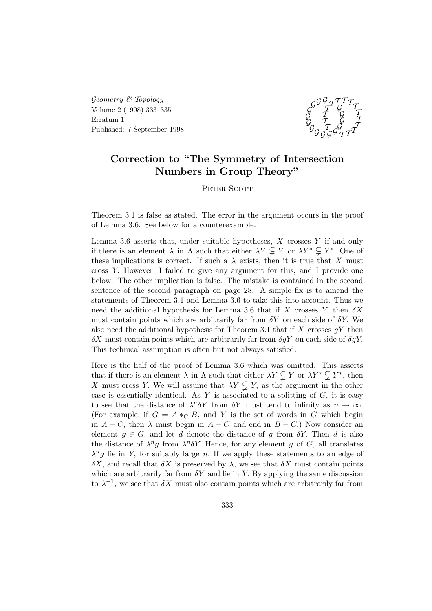$Geometry \& Topology$ Volume 2 (1998) 333–335 Erratum 1 Published: 7 September 1998



## Correction to "The Symmetry of Intersection Numbers in Group Theory"

PETER SCOTT

Theorem 3.1 is false as stated. The error in the argument occurs in the proof of Lemma 3.6. See below for a counterexample.

Lemma 3.6 asserts that, under suitable hypotheses,  $X$  crosses  $Y$  if and only if there is an element  $\lambda$  in  $\Lambda$  such that either  $\lambda Y \subsetneq Y$  or  $\lambda Y^* \subsetneq Y^*$ . One of these implications is correct. If such a  $\lambda$  exists, then it is true that X must cross Y. However, I failed to give any argument for this, and I provide one below. The other implication is false. The mistake is contained in the second sentence of the second paragraph on page 28. A simple fix is to amend the statements of Theorem 3.1 and Lemma 3.6 to take this into account. Thus we need the additional hypothesis for Lemma 3.6 that if X crosses Y, then  $\delta X$ must contain points which are arbitrarily far from  $\delta Y$  on each side of  $\delta Y$ . We also need the additional hypothesis for Theorem 3.1 that if X crosses  $qY$  then  $\delta X$  must contain points which are arbitrarily far from  $\delta qY$  on each side of  $\delta qY$ . This technical assumption is often but not always satisfied.

Here is the half of the proof of Lemma 3.6 which was omitted. This asserts that if there is an element  $\lambda$  in  $\Lambda$  such that either  $\lambda Y \subsetneq Y$  or  $\lambda Y^* \subsetneq Y^*$ , then X must cross Y. We will assume that  $\lambda Y \subsetneq Y$ , as the argument in the other case is essentially identical. As  $Y$  is associated to a splitting of  $G$ , it is easy to see that the distance of  $\lambda^n \delta Y$  from  $\delta Y$  must tend to infinity as  $n \to \infty$ . (For example, if  $G = A *_{C} B$ , and Y is the set of words in G which begin in  $A - C$ , then  $\lambda$  must begin in  $A - C$  and end in  $B - C$ .) Now consider an element  $g \in G$ , and let d denote the distance of g from  $\delta Y$ . Then d is also the distance of  $\lambda^n g$  from  $\lambda^n \delta Y$ . Hence, for any element g of G, all translates  $\lambda^n g$  lie in Y, for suitably large n. If we apply these statements to an edge of  $\delta X$ , and recall that  $\delta X$  is preserved by  $\lambda$ , we see that  $\delta X$  must contain points which are arbitrarily far from  $\delta Y$  and lie in Y. By applying the same discussion to  $\lambda^{-1}$ , we see that  $\delta X$  must also contain points which are arbitrarily far from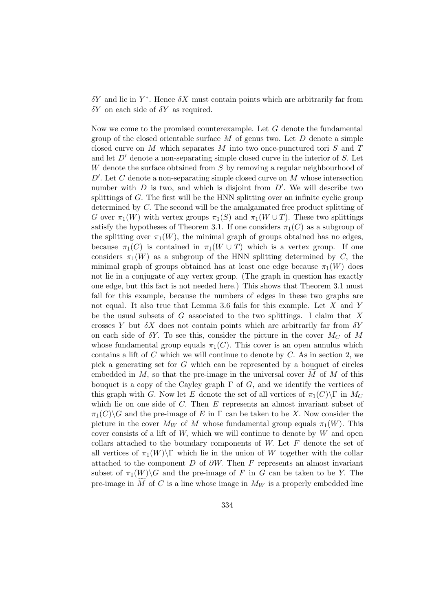$\delta Y$  and lie in  $Y^*$ . Hence  $\delta X$  must contain points which are arbitrarily far from  $\delta Y$  on each side of  $\delta Y$  as required.

Now we come to the promised counterexample. Let  $G$  denote the fundamental group of the closed orientable surface  $M$  of genus two. Let  $D$  denote a simple closed curve on M which separates M into two once-punctured tori  $S$  and  $T$ and let  $D'$  denote a non-separating simple closed curve in the interior of S. Let W denote the surface obtained from S by removing a regular neighbourhood of  $D'$ . Let C denote a non-separating simple closed curve on M whose intersection number with  $D$  is two, and which is disjoint from  $D'$ . We will describe two splittings of G. The first will be the HNN splitting over an infinite cyclic group determined by C. The second will be the amalgamated free product splitting of G over  $\pi_1(W)$  with vertex groups  $\pi_1(S)$  and  $\pi_1(W \cup T)$ . These two splittings satisfy the hypotheses of Theorem 3.1. If one considers  $\pi_1(C)$  as a subgroup of the splitting over  $\pi_1(W)$ , the minimal graph of groups obtained has no edges, because  $\pi_1(C)$  is contained in  $\pi_1(W \cup T)$  which is a vertex group. If one considers  $\pi_1(W)$  as a subgroup of the HNN splitting determined by C, the minimal graph of groups obtained has at least one edge because  $\pi_1(W)$  does not lie in a conjugate of any vertex group. (The graph in question has exactly one edge, but this fact is not needed here.) This shows that Theorem 3.1 must fail for this example, because the numbers of edges in these two graphs are not equal. It also true that Lemma 3.6 fails for this example. Let X and Y be the usual subsets of  $G$  associated to the two splittings. I claim that  $X$ crosses Y but  $\delta X$  does not contain points which are arbitrarily far from  $\delta Y$ on each side of  $\delta Y$ . To see this, consider the picture in the cover  $M_C$  of M whose fundamental group equals  $\pi_1(C)$ . This cover is an open annulus which contains a lift of  $C$  which we will continue to denote by  $C$ . As in section 2, we pick a generating set for G which can be represented by a bouquet of circles embedded in  $M$ , so that the pre-image in the universal cover  $M$  of  $M$  of this bouquet is a copy of the Cayley graph  $\Gamma$  of G, and we identify the vertices of this graph with G. Now let E denote the set of all vertices of  $\pi_1(C)\Gamma$  in  $M_C$ which lie on one side of C. Then E represents an almost invariant subset of  $\pi_1(C)\backslash G$  and the pre-image of E in  $\Gamma$  can be taken to be X. Now consider the picture in the cover  $M_W$  of M whose fundamental group equals  $\pi_1(W)$ . This cover consists of a lift of  $W$ , which we will continue to denote by  $W$  and open collars attached to the boundary components of  $W$ . Let  $F$  denote the set of all vertices of  $\pi_1(W)\Gamma$  which lie in the union of W together with the collar attached to the component  $D$  of  $\partial W$ . Then F represents an almost invariant subset of  $\pi_1(W) \backslash G$  and the pre-image of F in G can be taken to be Y. The pre-image in  $\widetilde{M}$  of C is a line whose image in  $M_W$  is a properly embedded line